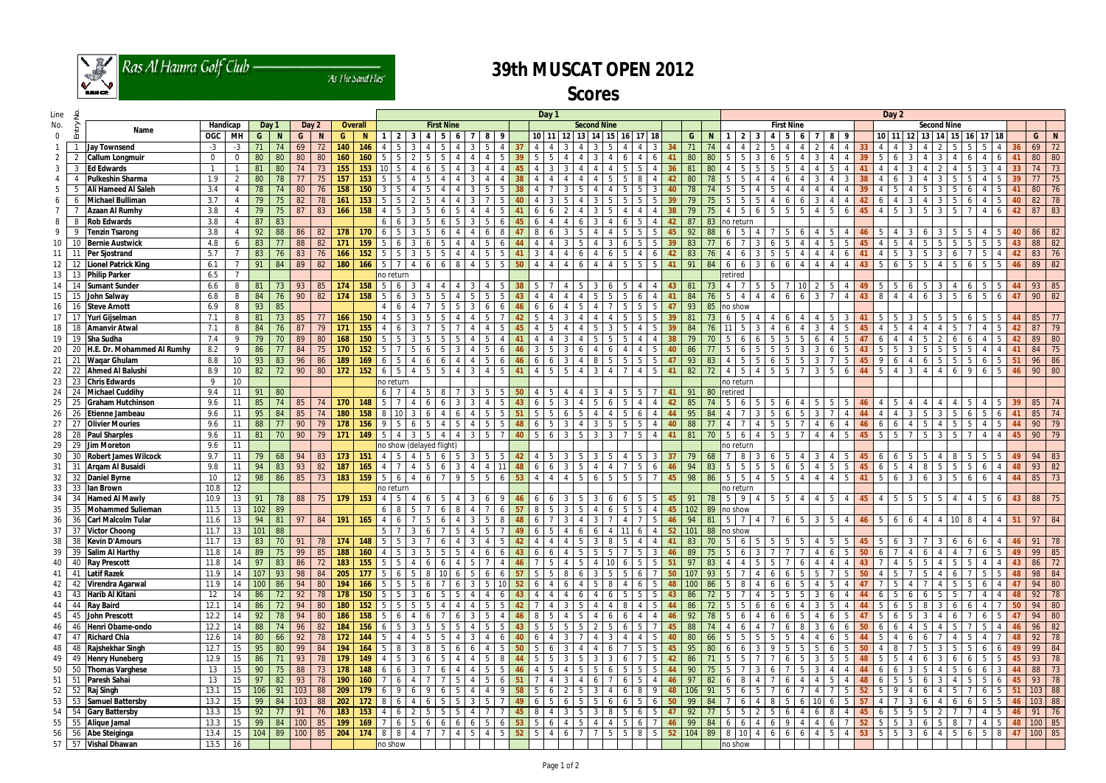

Ras Al Hamra Golf Club -

As The Sand Flies'

## **39th MUSCAT OPEN 2012**

**Scores**

| Line     | ءِ                                |                |                 |        |    |        |                |                |                  |                 | Day 1                        |                                         |                |                     |                   |      |                 |                |                 |                |                     |          |          | Day 2          |                 |     |     |             |                                                             |    |                   |                     |          |                |                    |     |     |                                            |                |      |                             |                |                 |     |                                           |
|----------|-----------------------------------|----------------|-----------------|--------|----|--------|----------------|----------------|------------------|-----------------|------------------------------|-----------------------------------------|----------------|---------------------|-------------------|------|-----------------|----------------|-----------------|----------------|---------------------|----------|----------|----------------|-----------------|-----|-----|-------------|-------------------------------------------------------------|----|-------------------|---------------------|----------|----------------|--------------------|-----|-----|--------------------------------------------|----------------|------|-----------------------------|----------------|-----------------|-----|-------------------------------------------|
| No.      |                                   | Handicap       |                 | Day 1  |    | Day 2  |                | <b>Overall</b> |                  |                 |                              | <b>First Nine</b><br><b>Second Nine</b> |                |                     |                   |      |                 |                |                 |                |                     |          |          |                |                 |     |     |             |                                                             |    | <b>First Nine</b> |                     |          |                | <b>Second Nine</b> |     |     |                                            |                |      |                             |                |                 |     |                                           |
| $\Omega$ | Entry<br>Name                     | OGC MH         |                 | G      | N  | G      | $\blacksquare$ | G              | $\mathbf N$      | $\mathbf{1}$    | $\overline{2}$               | 34                                      | -5             | 6                   | 8 <sup>1</sup>    |      |                 | $10$   11   12 |                 |                | $13$ 14 15          |          | 16 17 18 |                |                 | G - | -N  |             | $\begin{array}{c} 2 \end{array}$<br>$\overline{\mathbf{3}}$ |    | 45                | 6<br>$\mathbf{7}$   | 8        | - 9            |                    |     |     | 10   11   12   13   14   15   16   17   18 |                |      |                             |                |                 | G   | N                                         |
|          | <b>Jay Townsend</b>               | $-3$           | $-3$            |        |    | 69     | 72             | 140            | 146              | Δ               |                              |                                         |                |                     |                   |      |                 |                |                 |                |                     |          |          |                |                 |     |     |             |                                                             |    |                   |                     |          |                | 33                 |     |     |                                            |                |      |                             |                |                 | 69  | 72                                        |
| 2        | <b>Callum Longmuir</b>            | $\overline{0}$ | $\Omega$        | 80     | 80 | 80     | 80             | 160            | 160              | 5               |                              |                                         |                |                     |                   |      |                 |                |                 |                |                     |          |          |                |                 |     | -80 |             |                                                             |    |                   |                     |          |                |                    |     |     |                                            |                |      |                             |                |                 | 80  | 80                                        |
| 3        | <b>Ed Edwards</b>                 |                |                 | 81     | 80 |        |                | 155            | 153              |                 |                              |                                         |                |                     |                   |      |                 |                |                 |                |                     |          |          |                |                 |     |     |             |                                                             |    |                   |                     |          |                |                    |     |     |                                            |                |      |                             |                |                 |     | 73                                        |
|          | <b>Pulkeshin Sharma</b>           | 1.9            |                 | 80     |    |        | 75             | 157            | 153              |                 |                              |                                         |                |                     |                   |      |                 |                |                 |                |                     |          |          |                |                 |     |     |             |                                                             |    |                   |                     |          |                |                    |     |     |                                            |                |      |                             |                |                 |     | 75                                        |
| 5        | <b>Ali Hameed Al Saleh</b>        | 3.4            |                 |        |    | 80     | 76             | 158            |                  |                 |                              |                                         |                |                     |                   |      |                 |                |                 |                |                     |          |          |                |                 |     |     |             |                                                             |    |                   |                     |          |                |                    |     |     |                                            |                |      |                             |                |                 | 80  | 76                                        |
| 6        | <b>Michael Bulliman</b><br>-6     | 3.7            |                 | 79     |    | 82     | 78             | 161            | 153              |                 |                              |                                         |                |                     |                   |      |                 |                |                 |                |                     |          |          |                |                 |     |     |             |                                                             |    |                   |                     |          |                |                    |     |     |                                            |                |      |                             |                |                 | 82  | 78                                        |
|          | <b>Azaan Al Rumhy</b>             | 3.8            |                 | 79     | 75 | 87     | 83             | 166            | 158              |                 |                              |                                         |                |                     |                   |      |                 |                |                 |                |                     |          |          |                |                 |     |     |             | -5                                                          |    |                   |                     |          |                |                    |     |     |                                            |                |      |                             |                |                 | 87  | 83                                        |
| 8        | <b>Rob Edwards</b>                | 3.8            |                 | 87     | 83 |        |                |                |                  | 6               |                              |                                         |                |                     |                   |      |                 |                |                 |                |                     |          |          |                |                 |     | 83  | no return   |                                                             |    |                   |                     |          |                |                    |     |     |                                            |                |      |                             |                |                 |     |                                           |
| 9        | -9<br><b>Tenzin Tsarong</b>       | 3.8            | 4               | 92     | 88 | 86     | 82             | 178            | 170              |                 |                              |                                         |                |                     |                   |      |                 |                |                 |                |                     |          |          |                |                 | 92  | 88  |             | .5                                                          |    |                   |                     |          |                |                    |     |     |                                            |                |      |                             |                |                 | 86  | 82                                        |
| 10       | <b>Bernie Austwick</b><br>10      | 4.8            | 6               | 83     |    | 88     | 82             | 171            | 159              |                 |                              |                                         |                |                     |                   |      |                 |                |                 |                |                     |          |          |                |                 | 83  |     |             |                                                             |    |                   |                     |          |                |                    |     |     |                                            |                |      |                             |                |                 | 88  | 82                                        |
| 11       | -11<br>Per Sjostrand              | 5.7            |                 | 83     | 76 | 83     | 76             | 166            | 152              | 5               |                              |                                         | .5             |                     | 5                 |      |                 |                |                 |                |                     |          |          | 6              |                 | 83  |     | 4           | -6                                                          |    |                   | $\overline{4}$      |          |                | 41                 |     |     | 3<br>5                                     |                |      |                             | 4              | 42              | 83  | 76                                        |
| 12       | <b>Lionel Patrick King</b><br>12  | 6.1            |                 | 91     | 84 | 89     | 82             | 180            | 166              | 5               | Δ                            |                                         | 6              | 8                   | $-5$              | l 5. | 50              |                | 4<br>4          |                |                     | $\Delta$ | .5       | -5             | 41              | -91 | -84 | 6           | 6<br>-3                                                     | -6 |                   | $\overline{4}$<br>4 | $\Delta$ |                | 43                 | 566 |     | 5<br>-51                                   | $\Delta$       | -5 - | 16 I                        | 55             | -46             | 89  | 82                                        |
| 13       | <b>Philip Parker</b><br>13        | 6.5            |                 |        |    |        |                |                |                  | no return       |                              |                                         |                |                     |                   |      |                 |                |                 |                |                     |          |          |                |                 |     |     | retired     |                                                             |    |                   |                     |          |                |                    |     |     |                                            |                |      |                             |                |                 |     |                                           |
| 14       | 14<br><b>Sumant Sunder</b>        | 6.6            |                 | 81     |    | 93     | 85             | 174            | 158              |                 |                              |                                         |                |                     |                   |      |                 |                |                 |                |                     |          |          |                |                 |     |     |             |                                                             |    |                   |                     |          |                |                    |     |     |                                            |                |      |                             |                |                 | 93  | 85                                        |
| 15       | John Salway<br>15                 | 6.8            | -8              | 84     | 76 | 90     | 82             | 174            | 158              | $5\overline{5}$ |                              |                                         |                |                     |                   |      |                 |                |                 |                |                     |          |          |                |                 |     |     |             |                                                             |    |                   | 3<br>6              |          |                | 43                 | -8  |     | 6                                          |                |      |                             |                |                 | 90  | 82                                        |
| 16       | 16<br><b>Steve Arnott</b>         | 6.9            | -8              | 93     | 85 |        |                |                |                  |                 |                              |                                         |                |                     |                   |      |                 |                |                 |                |                     |          |          |                |                 | 93  | 85  | Ino show    |                                                             |    |                   |                     |          |                |                    |     |     |                                            |                |      |                             |                |                 |     |                                           |
| 17       | 17<br>Yuri Gijselman              | 7.1            |                 | 81     | 73 | 85     |                | 166            | 150              |                 |                              |                                         |                |                     |                   |      |                 |                |                 |                |                     |          |          |                |                 |     |     |             |                                                             |    |                   |                     |          |                |                    |     |     |                                            |                |      |                             |                |                 | 85  | 77                                        |
| 18       | 18<br><b>Amanvir Atwal</b>        | 7.1            | -8              | 84     |    | 87     | 79             | 171            | 155              |                 |                              |                                         |                |                     |                   |      |                 |                |                 |                |                     |          |          |                |                 |     |     |             |                                                             |    |                   | 3                   |          |                | 45                 |     |     |                                            |                |      |                             |                |                 | 87  | 79                                        |
| 19       | 19<br><b>Sha Sudha</b>            | 7.4            | - 9             | 79     | 70 | 89     | 80             | 168            | 150              |                 |                              |                                         |                |                     |                   |      |                 |                |                 |                |                     |          |          |                |                 |     |     |             |                                                             |    |                   |                     |          |                |                    |     |     |                                            |                |      |                             |                |                 | 89  | 80                                        |
| 20       | 20<br>H.E. Dr. Mohammed Al Rumhy  | 8.2            | - 9             | 86     |    | 84     | 75             | 170            | 152              |                 |                              |                                         |                |                     |                   |      |                 |                |                 |                |                     |          |          |                |                 |     |     |             |                                                             |    |                   |                     |          |                |                    |     |     |                                            |                |      |                             |                |                 | 84  | 75                                        |
| 21       | 21 Waqar Ghulam                   | 8.8            | 10              | 93     | 83 | 96     | 86             | 189            | 169              | 6               |                              |                                         |                |                     |                   |      |                 |                |                 |                |                     |          |          |                |                 | -93 | -83 |             |                                                             |    |                   | 3                   |          |                |                    |     |     | 6                                          |                |      |                             |                |                 |     | 96 86                                     |
| 22       | 22<br><b>Ahmed Al Balushi</b>     | 8.9            | 10 <sup>°</sup> | 82     | 72 | 90     | 80             | 172            | 152              | 6               | -5<br>$\boldsymbol{\Lambda}$ |                                         | -5             |                     |                   |      |                 |                | Б.              |                | 3                   |          |          |                |                 | 82  |     | 4           | 5                                                           |    |                   | 3                   |          |                | 44                 | -5  |     | $\mathcal{E}$                              |                |      | <b>Q</b>                    | 5              | -46             |     | 90 80                                     |
| 23       | 23<br><b>Chris Edwards</b>        | 9              | 10              |        |    |        |                |                |                  | no return       |                              |                                         |                |                     |                   |      |                 |                |                 |                |                     |          |          |                |                 |     |     | no return   |                                                             |    |                   |                     |          |                |                    |     |     |                                            |                |      |                             |                |                 |     |                                           |
| 24       | 24<br><b>Michael Cuddihy</b>      | 9.4            | 11              | 91     | 80 |        |                |                |                  | 6               |                              |                                         |                |                     |                   |      |                 |                |                 |                |                     |          |          |                |                 |     | -80 | retired     |                                                             |    |                   |                     |          |                |                    |     |     |                                            |                |      |                             |                |                 |     |                                           |
| 25       | 25<br><b>Graham Hutchinson</b>    | 9.6            | 11              | 85     | 74 | 85     |                | 170            | 148              |                 |                              |                                         |                |                     |                   |      |                 |                |                 |                |                     |          |          |                |                 |     |     |             |                                                             |    |                   |                     |          |                |                    |     |     |                                            |                |      |                             |                |                 | 85  | 74                                        |
| 26       | 26<br><b>Etienne Jambeau</b>      | 9.6            | 11              | 95     | 84 | 85     |                | 180            | 158              |                 |                              |                                         |                |                     |                   |      |                 |                |                 |                |                     |          |          |                |                 | 95  |     |             |                                                             |    |                   |                     |          |                |                    |     |     |                                            |                |      |                             |                |                 | 85  | 74                                        |
| 27       | 27<br><b>Olivier Mouries</b>      | 9.6            | -11             | 88     |    | 90     | 79             | 178            | 156              |                 |                              |                                         |                |                     |                   |      |                 |                |                 |                |                     |          |          |                |                 | 88  |     |             |                                                             |    |                   |                     |          |                |                    |     |     |                                            |                |      |                             |                |                 | 90  | 79                                        |
| 28       | 28<br><b>Paul Sharples</b>        | 9.6            | 11              | 81     | 70 | 90     | 79             | 171            | 149              | 5               | -3                           |                                         | $\overline{4}$ |                     |                   |      |                 |                |                 |                |                     |          |          |                |                 | -81 |     | 5           | 6                                                           |    |                   |                     |          |                | 45                 |     |     |                                            |                |      |                             |                | 45              | 90  | 79                                        |
| 29       | -29<br><b>Jim Moreton</b>         | 9.6            | 11              |        |    |        |                |                |                  |                 |                              | no show (delayed flight)                |                |                     |                   |      |                 |                |                 |                |                     |          |          |                |                 |     |     | าo return   |                                                             |    |                   |                     |          |                |                    |     |     |                                            |                |      |                             |                |                 |     |                                           |
| 30       | <b>Robert James Wilcock</b><br>30 | 9.7            | 11              | 79     | 68 | 94     | 83             | 173            | 151              |                 |                              |                                         |                |                     |                   |      | 42              |                |                 |                |                     |          | 5        | 3              | -37             | 79  | 68  |             | 8<br>- 3                                                    |    |                   | 3                   |          | - 5            | 45                 | -6  |     | 5<br>5                                     |                | - 8  |                             |                |                 | 94  | 83                                        |
| 31       | 31<br>Argam Al Busaidi            | 9.8            | 11              | 94     | 83 | 93     | 82             | 187            | 165              |                 |                              |                                         |                |                     |                   |      |                 | 6              |                 |                |                     |          |          | 6              |                 | 94  | 83  | 5           | 5<br>-5                                                     |    |                   | -5<br>4             |          | - 5            | 45                 | -6  |     | -8                                         |                | - 5  | -5                          |                |                 | 93  | 82                                        |
| 32       | 32 Daniel Byrne                   | 10             | 12              | 98     | 86 | 85     | 73             | 183            | 159              | 5               | 6<br>4                       |                                         | 9              |                     | -5                |      | 53              | 4              |                 |                | -6                  | - 5      | 5        |                |                 | 98  | 86  | 5           | 5<br>-4                                                     | -5 |                   | $\overline{4}$      |          |                |                    | -5  |     | 3<br>6                                     |                | - 5  | - 6                         | Δ              |                 | 85  | 73                                        |
| 33       | 33<br>lan Brown                   | 10.8           | 12              |        |    |        |                |                |                  | no return       |                              |                                         |                |                     |                   |      |                 |                |                 |                |                     |          |          |                |                 |     |     | no return   |                                                             |    |                   |                     |          |                |                    |     |     |                                            |                |      |                             |                |                 |     |                                           |
| 34       | 34<br><b>Hamed AI Mawly</b>       | 10.9           | 13              | 91     | 78 | 88     | 75             | 179            | 153              | $\overline{4}$  | - 5                          |                                         | 5              |                     |                   |      | 46              |                |                 |                |                     |          |          | .5             | 45.             | 91  | 78  |             | $5 \quad 9 \quad 4$                                         |    |                   | 5 5 4 4             | -5       |                | 4 4 4 5            |     |     | $4 \quad 5 \quad 5 \quad 5$                | 5              |      | 4456                        |                | 43              |     | 88 75                                     |
| 35       | 35<br><b>Mohammed Sulieman</b>    | 11.5           | 13              | $102$  | 89 |        |                |                |                  | 6               | - 8<br>- 5                   |                                         | 6              | 8                   |                   | - 6  | -57             | 5              | 3               | -5             | I 6                 |          | 5        | 4              | 45.             | 102 |     | 89 no show  |                                                             |    |                   |                     |          |                |                    |     |     |                                            |                |      |                             |                |                 |     |                                           |
| 36       | 36 Carl Malcolm Tular             | $11.6$ 13 94   |                 |        | 81 |        | 97 84          | $191$ 165      |                  | $4 \mid 6$      |                              | 7564                                    |                |                     | $3 \mid 5 \mid 8$ |      | $\overline{AB}$ | 6 <sup>1</sup> | $7 \mid 3 \mid$ |                | 3171                |          | 4 7      | $5^{\circ}$    | 46 94 81 5 7 4  |     |     |             |                                                             |    |                   | 76535               |          |                | $4 \mid 46$        |     |     | 5 6 6 4 4 10 8 4 4                         |                |      |                             |                | 51              | 97  | 84                                        |
| 37       | 37 Victor Choong                  | 11.7           | 13              | 101    | 88 |        |                |                |                  | $5\overline{)}$ |                              |                                         |                |                     | - 5               |      |                 | 5              |                 |                | $\blacksquare$<br>6 |          |          |                | 52 <sub>2</sub> | 101 |     | 88 no show  |                                                             |    |                   |                     |          |                |                    |     |     |                                            |                |      |                             |                |                 |     |                                           |
| 38       | 38<br><b>Kevin D'Amours</b>       | $11.7$ 13      |                 | 83     | 70 | -91    | 78             | 174            | 148              | 5               |                              |                                         |                |                     |                   |      |                 |                |                 |                | l 8                 |          |          |                |                 | 83  |     |             | 6<br>- 5                                                    |    | 515               | 5                   |          |                |                    |     |     | 3                                          |                |      |                             |                | -46             | 91  | $\begin{array}{ c c } \hline \end{array}$ |
| 39       | 39<br><b>Salim Al Harthy</b>      | 11.8           | 14              | 89     | 75 | 99     | 85             | 188            | 160              |                 |                              |                                         |                |                     |                   |      |                 |                |                 |                |                     |          |          |                |                 | 89  |     |             |                                                             |    |                   |                     |          |                |                    |     |     |                                            |                |      |                             |                |                 | 99  | 85                                        |
| 40       | 40<br><b>Ray Prescott</b>         | 11.8           | 14              | 97     | 83 | 86     | 72             | 183            | 155              | 5               | -5                           |                                         |                |                     |                   |      |                 |                |                 |                |                     |          |          | -5             | -51             | 97  | 83  |             | -5                                                          |    |                   | 4                   |          |                | 43                 |     |     | 5 <sup>5</sup><br>5                        |                |      |                             |                | 43              | 86  | 72                                        |
| 41       | 41 Latif Razek                    | 11.9           | 14              | 107    | 93 | 98     | 84             | 205            | 177              | 5               | 6                            |                                         | 6              | -5                  | -6                | -6   | 57              |                | 5<br>8          | -6             | -3                  |          |          |                | 50              | 107 | 93  |             |                                                             |    |                   | 5 <sup>1</sup><br>5 |          |                | 50                 |     |     | -5                                         |                |      |                             | 5              |                 | 98  | 84                                        |
| 42       | 42 Virendra Agarwal               | 11.9           | 14              | 100    | 86 | 94     | 80             | 194            | 166              | 5               |                              |                                         |                |                     |                   |      | 52              |                | 6               |                |                     |          |          |                |                 | 100 | 86  |             |                                                             |    |                   |                     |          |                |                    |     |     |                                            |                |      |                             |                |                 | 94  | 80                                        |
| 43       | 43<br>Harib Al Kitani             | 12             | 14              | 86     | 72 | 92     | 78             | 178            | 150              | 5               |                              |                                         |                |                     |                   |      |                 |                |                 |                |                     |          |          |                |                 | -86 |     |             |                                                             |    |                   |                     |          |                |                    |     |     | 6<br>6                                     |                |      |                             |                |                 | 92  | 78                                        |
| 44       | 44 Ray Baird                      | 12.1           | 14              | 86     | 72 | 94     | 80             | 180            | 152              | 5               |                              |                                         |                |                     | -5                |      |                 |                |                 |                |                     |          |          |                |                 | 86  |     |             | 6                                                           |    |                   |                     |          |                |                    |     |     | 5                                          |                | 6    |                             |                | 50 <sup>°</sup> | 94  | 80                                        |
| 45       | 45 John Prescott                  | 12.2           | 14              | 92     | 78 | 94     | 80             | 186            | 158              | 5               |                              |                                         |                | 6                   | 5                 |      | 46              | -5             |                 |                |                     |          |          |                | 46              | 92  |     |             | 6                                                           |    |                   |                     |          |                |                    |     |     | 5                                          |                |      |                             | 5              | 47              |     | $94$ 80                                   |
| 46       | Henri Obame-ondo<br>46            | 12.2           | 14              | 88     | 74 | 96     | 82             | 184            | 156              | 6               | - 5<br>-3                    |                                         | 5              | 5<br>4              | 5                 | - 5  | 43              | 5<br>5         | 5               | -5             | 2   5               |          | 5<br>6   |                | 45              | 88  | 74  | 4           | 6<br>4                                                      |    |                   | 8<br>3              | -6       | -6             | 50                 | -6  |     | 5<br>$\overline{4}$                        |                | - 5  |                             | 4              | -46             | 96  | 82                                        |
| 47       | 47<br><b>Richard Chia</b>         | 12.6           | 14              | 80     | 66 | 92     | 78             | 172            | 144              | $5\overline{)}$ | 4<br>4                       |                                         | 5<br>4         |                     |                   | - 6  |                 | 6              | 4               |                |                     | -3       | 4        | 5              |                 | 80  | 66  | 5           | 5<br>-5                                                     |    |                   |                     | -6       | . ხ            |                    |     |     | 6<br>6                                     |                |      | -5                          |                |                 | 92  | 78                                        |
| 48       | 48<br><b>Rajshekhar Singh</b>     | 12.7           | 15              | 95     | 80 | 99     | 84             | 194            | 164              | 5               | - 8                          |                                         | 5              | 6                   |                   |      | 50              | 6              |                 |                | 416                 |          | 5        | 5              | 45              | 95  | 80  |             | 3<br>6                                                      |    |                   | 5<br>5              |          | - 5            | 50                 | 4   |     |                                            |                | - 5  | $+5$                        |                |                 | 99  | 84                                        |
| 49       | 49<br><b>Henry Huneberg</b>       | 12.9           | 15              | 86     | 71 | 93     | 78             | 179            | 149              | 4               | -5                           |                                         | -5             |                     | -5                | -8   |                 | -5             |                 |                | 3                   |          |          | -5             |                 | 86  |     |             | -5                                                          |    |                   | 3<br>5              |          | -5             | 48                 | -5  |     | 6                                          |                | -6   |                             |                |                 | 93  | 78                                        |
| 50       | 50<br><b>Thomas Varghese</b>      | 13             | 15              | 90     | 75 | 88     | 73             | 178            | 148              | 6               |                              |                                         |                |                     |                   |      |                 |                |                 |                |                     |          |          |                |                 | 90  |     |             |                                                             |    |                   |                     |          |                |                    |     |     |                                            |                |      |                             |                |                 | 88  | 73                                        |
| 51       | 51<br>Paresh Sahai                | 13             | 15              | 97     | 82 | 93     | 78             | 190            | 160              |                 |                              |                                         |                |                     | 5                 | - 6  |                 |                |                 |                |                     |          |          |                |                 | 97  | 82  |             | 8                                                           |    |                   |                     |          |                | 48                 |     |     | 5<br>6                                     |                |      |                             | 6              | 45              | 93  | 78                                        |
| 52       | 52<br>Raj Singh                   | 13.1           | 15              | 106    | 91 | 103    | 88             | 209            | 179              | 6               | - 9                          |                                         | 6              | 5                   |                   | - 9  | 58              | 6              |                 |                | -3                  |          |          | 9              |                 | 106 | -91 |             | 6<br>-5                                                     |    |                   |                     |          |                | 52                 |     |     | 6                                          |                | -5   |                             | 5              | -51             | 103 | 88                                        |
| 53       | 53<br><b>Samuel Battersby</b>     | 13.2           | 15              | 99     | 84 | 103    | 88             | 202            | $\overline{172}$ | 8               | - 6                          |                                         |                | 5                   | - 5               |      | 49              | 5              | 6               |                | - 5                 | - 6      | 5        | 6              | 50              | 99  | 84  |             | 6<br>4                                                      |    |                   | 10<br>6             | -6       | -5             | 57                 |     |     | 3<br>6                                     |                | -6   | -6                          | 5              | 46              | 103 | 88                                        |
| 54       | 54 Gary Battersby                 | 13.3           | 15              | 92     | 77 | 91     | 76             | 183            | 153              | 4               | - 6                          |                                         | 5<br>5         |                     |                   |      | 45              |                | 3<br>4          | -5             | 3<br>$\overline{8}$ |          | 6        | 5              | 47              | 92  |     | 5           | 5<br>2                                                      | -5 |                   | 6                   |          |                | 45                 | -6  |     | $5\overline{)}$<br>5                       |                |      |                             | 5              | 46              | 91  | 76                                        |
| 55       | 55 Alique Jamal                   | 13.3           | 15              | 99     | 84 | 100    | 85             | 199            | 169              | -7              | - 5<br>6                     | 6                                       | 6              | 6<br>-6             | 5                 | - 6  | 53              | 6<br>5         | 4               | -5             | 414                 |          | 6        |                | 46              | -99 | 84  | 6           | 6<br>4                                                      | -6 |                   | 4<br>4              | -6       |                | 52                 | -5  | I5I | $\overline{3}$<br>6                        | -5             | 8    |                             | 5 <sup>o</sup> | 48              |     | 100 85                                    |
| 56       | 56 Abe Steiginga                  | 13.4           |                 | 15 104 | 89 | 100 85 |                | 204            | $ 174\rangle$    | $8 \mid 8$      |                              | 4 7                                     | $\overline{7}$ | 5<br>$\overline{4}$ | 4 5 1             |      | 52              | 51             | 6<br>41         | $\overline{7}$ | 7 5                 |          | 8<br>5 I | 5 <sup>5</sup> | 52              | 104 | 89  | $8 \mid 10$ | $\overline{4}$                                              |    | 66                | 6<br>$\overline{4}$ | 5        | $\overline{4}$ | 53                 |     |     | $5 \quad 5 \quad 3 \quad 6$                | $\overline{4}$ |      | $5 \quad 6 \quad 5 \quad 8$ |                | $-47$           |     | 100 85                                    |
| 57       | 57 Vishal Dhawan                  | $13.5$ 16      |                 |        |    |        |                |                |                  | no show         |                              |                                         |                |                     |                   |      |                 |                |                 |                |                     |          |          |                |                 |     |     | no show     |                                                             |    |                   |                     |          |                |                    |     |     |                                            |                |      |                             |                |                 |     |                                           |